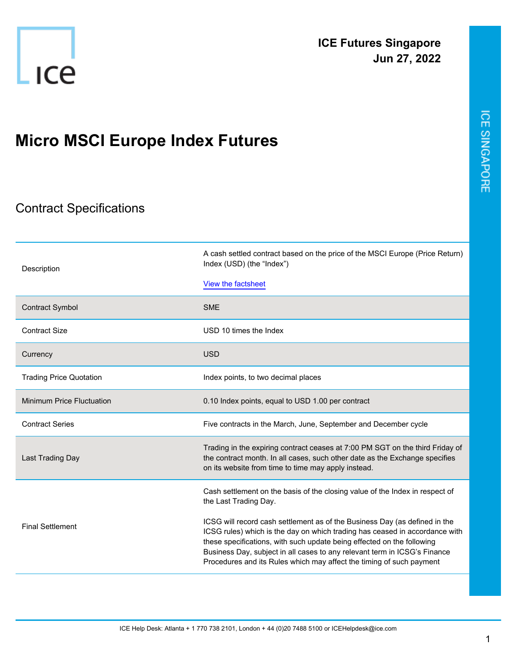

## **Micro MSCI Europe Index Futures**

## Contract Specifications

| Description                      | A cash settled contract based on the price of the MSCI Europe (Price Return)<br>Index (USD) (the "Index")                                                                                                                                                                                                                                                                                |
|----------------------------------|------------------------------------------------------------------------------------------------------------------------------------------------------------------------------------------------------------------------------------------------------------------------------------------------------------------------------------------------------------------------------------------|
|                                  | View the factsheet                                                                                                                                                                                                                                                                                                                                                                       |
| <b>Contract Symbol</b>           | <b>SME</b>                                                                                                                                                                                                                                                                                                                                                                               |
| <b>Contract Size</b>             | USD 10 times the Index                                                                                                                                                                                                                                                                                                                                                                   |
| Currency                         | <b>USD</b>                                                                                                                                                                                                                                                                                                                                                                               |
| <b>Trading Price Quotation</b>   | Index points, to two decimal places                                                                                                                                                                                                                                                                                                                                                      |
| <b>Minimum Price Fluctuation</b> | 0.10 Index points, equal to USD 1.00 per contract                                                                                                                                                                                                                                                                                                                                        |
| <b>Contract Series</b>           | Five contracts in the March, June, September and December cycle                                                                                                                                                                                                                                                                                                                          |
| Last Trading Day                 | Trading in the expiring contract ceases at 7:00 PM SGT on the third Friday of<br>the contract month. In all cases, such other date as the Exchange specifies<br>on its website from time to time may apply instead.                                                                                                                                                                      |
| <b>Final Settlement</b>          | Cash settlement on the basis of the closing value of the Index in respect of<br>the Last Trading Day.                                                                                                                                                                                                                                                                                    |
|                                  | ICSG will record cash settlement as of the Business Day (as defined in the<br>ICSG rules) which is the day on which trading has ceased in accordance with<br>these specifications, with such update being effected on the following<br>Business Day, subject in all cases to any relevant term in ICSG's Finance<br>Procedures and its Rules which may affect the timing of such payment |